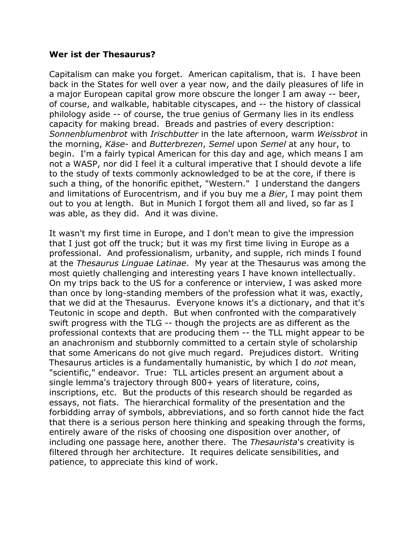## **Wer ist der Thesaurus?**

Capitalism can make you forget. American capitalism, that is. I have been back in the States for well over a year now, and the daily pleasures of life in a major European capital grow more obscure the longer I am away -- beer, of course, and walkable, habitable cityscapes, and -- the history of classical philology aside -- of course, the true genius of Germany lies in its endless capacity for making bread. Breads and pastries of every description: *Sonnenblumenbrot* with *Irischbutter* in the late afternoon, warm *Weissbrot* in the morning, *Käse-* and *Butterbrezen*, *Semel* upon *Semel* at any hour, to begin. I'm a fairly typical American for this day and age, which means I am not a WASP, nor did I feel it a cultural imperative that I should devote a life to the study of texts commonly acknowledged to be at the core, if there is such a thing, of the honorific epithet, "Western." I understand the dangers and limitations of Eurocentrism, and if you buy me a *Bier*, I may point them out to you at length. But in Munich I forgot them all and lived, so far as I was able, as they did. And it was divine.

It wasn't my first time in Europe, and I don't mean to give the impression that I just got off the truck; but it was my first time living in Europe as a professional. And professionalism, urbanity, and supple, rich minds I found at the *Thesaurus Linguae Latinae*. My year at the Thesaurus was among the most quietly challenging and interesting years I have known intellectually. On my trips back to the US for a conference or interview, I was asked more than once by long-standing members of the profession what it was, exactly, that we did at the Thesaurus. Everyone knows it's a dictionary, and that it's Teutonic in scope and depth. But when confronted with the comparatively swift progress with the TLG -- though the projects are as different as the professional contexts that are producing them -- the TLL might appear to be an anachronism and stubbornly committed to a certain style of scholarship that some Americans do not give much regard. Prejudices distort. Writing Thesaurus articles is a fundamentally humanistic, by which I do *not* mean, "scientific," endeavor. True: TLL articles present an argument about a single lemma's trajectory through 800+ years of literature, coins, inscriptions, etc. But the products of this research should be regarded as essays, not fiats. The hierarchical formality of the presentation and the forbidding array of symbols, abbreviations, and so forth cannot hide the fact that there is a serious person here thinking and speaking through the forms, entirely aware of the risks of choosing one disposition over another, of including one passage here, another there. The *Thesaurista*'s creativity is filtered through her architecture. It requires delicate sensibilities, and patience, to appreciate this kind of work.